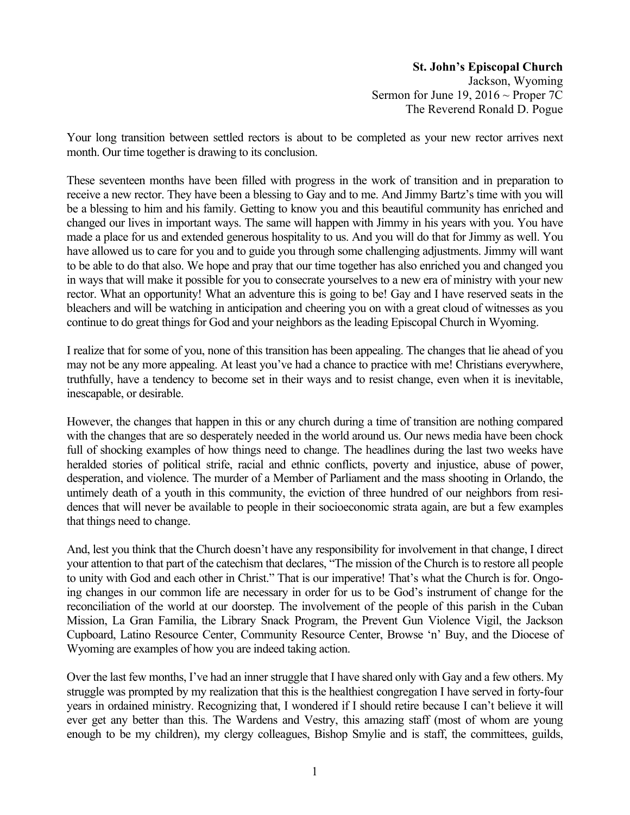**St. John's Episcopal Church** Jackson, Wyoming Sermon for June 19, 2016  $\sim$  Proper 7C The Reverend Ronald D. Pogue

Your long transition between settled rectors is about to be completed as your new rector arrives next month. Our time together is drawing to its conclusion.

These seventeen months have been filled with progress in the work of transition and in preparation to receive a new rector. They have been a blessing to Gay and to me. And Jimmy Bartz's time with you will be a blessing to him and his family. Getting to know you and this beautiful community has enriched and changed our lives in important ways. The same will happen with Jimmy in his years with you. You have made a place for us and extended generous hospitality to us. And you will do that for Jimmy as well. You have allowed us to care for you and to guide you through some challenging adjustments. Jimmy will want to be able to do that also. We hope and pray that our time together has also enriched you and changed you in ways that will make it possible for you to consecrate yourselves to a new era of ministry with your new rector. What an opportunity! What an adventure this is going to be! Gay and I have reserved seats in the bleachers and will be watching in anticipation and cheering you on with a great cloud of witnesses as you continue to do great things for God and your neighbors as the leading Episcopal Church in Wyoming.

I realize that for some of you, none of this transition has been appealing. The changes that lie ahead of you may not be any more appealing. At least you've had a chance to practice with me! Christians everywhere, truthfully, have a tendency to become set in their ways and to resist change, even when it is inevitable, inescapable, or desirable.

However, the changes that happen in this or any church during a time of transition are nothing compared with the changes that are so desperately needed in the world around us. Our news media have been chock full of shocking examples of how things need to change. The headlines during the last two weeks have heralded stories of political strife, racial and ethnic conflicts, poverty and injustice, abuse of power, desperation, and violence. The murder of a Member of Parliament and the mass shooting in Orlando, the untimely death of a youth in this community, the eviction of three hundred of our neighbors from residences that will never be available to people in their socioeconomic strata again, are but a few examples that things need to change.

And, lest you think that the Church doesn't have any responsibility for involvement in that change, I direct your attention to that part of the catechism that declares, "The mission of the Church is to restore all people to unity with God and each other in Christ." That is our imperative! That's what the Church is for. Ongoing changes in our common life are necessary in order for us to be God's instrument of change for the reconciliation of the world at our doorstep. The involvement of the people of this parish in the Cuban Mission, La Gran Familia, the Library Snack Program, the Prevent Gun Violence Vigil, the Jackson Cupboard, Latino Resource Center, Community Resource Center, Browse 'n' Buy, and the Diocese of Wyoming are examples of how you are indeed taking action.

Over the last few months, I've had an inner struggle that I have shared only with Gay and a few others. My struggle was prompted by my realization that this is the healthiest congregation I have served in forty-four years in ordained ministry. Recognizing that, I wondered if I should retire because I can't believe it will ever get any better than this. The Wardens and Vestry, this amazing staff (most of whom are young enough to be my children), my clergy colleagues, Bishop Smylie and is staff, the committees, guilds,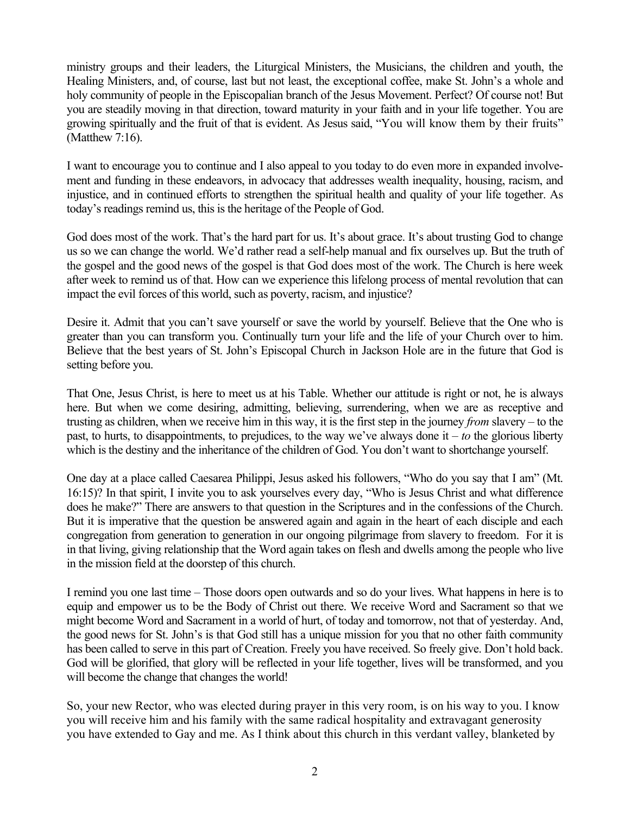ministry groups and their leaders, the Liturgical Ministers, the Musicians, the children and youth, the Healing Ministers, and, of course, last but not least, the exceptional coffee, make St. John's a whole and holy community of people in the Episcopalian branch of the Jesus Movement. Perfect? Of course not! But you are steadily moving in that direction, toward maturity in your faith and in your life together. You are growing spiritually and the fruit of that is evident. As Jesus said, "You will know them by their fruits" (Matthew 7:16).

I want to encourage you to continue and I also appeal to you today to do even more in expanded involvement and funding in these endeavors, in advocacy that addresses wealth inequality, housing, racism, and injustice, and in continued efforts to strengthen the spiritual health and quality of your life together. As today's readings remind us, this is the heritage of the People of God.

God does most of the work. That's the hard part for us. It's about grace. It's about trusting God to change us so we can change the world. We'd rather read a self-help manual and fix ourselves up. But the truth of the gospel and the good news of the gospel is that God does most of the work. The Church is here week after week to remind us of that. How can we experience this lifelong process of mental revolution that can impact the evil forces of this world, such as poverty, racism, and injustice?

Desire it. Admit that you can't save yourself or save the world by yourself. Believe that the One who is greater than you can transform you. Continually turn your life and the life of your Church over to him. Believe that the best years of St. John's Episcopal Church in Jackson Hole are in the future that God is setting before you.

That One, Jesus Christ, is here to meet us at his Table. Whether our attitude is right or not, he is always here. But when we come desiring, admitting, believing, surrendering, when we are as receptive and trusting as children, when we receive him in this way, it is the first step in the journey *from* slavery – to the past, to hurts, to disappointments, to prejudices, to the way we've always done it – *to* the glorious liberty which is the destiny and the inheritance of the children of God. You don't want to shortchange yourself.

One day at a place called Caesarea Philippi, Jesus asked his followers, "Who do you say that I am" (Mt. 16:15)? In that spirit, I invite you to ask yourselves every day, "Who is Jesus Christ and what difference does he make?" There are answers to that question in the Scriptures and in the confessions of the Church. But it is imperative that the question be answered again and again in the heart of each disciple and each congregation from generation to generation in our ongoing pilgrimage from slavery to freedom. For it is in that living, giving relationship that the Word again takes on flesh and dwells among the people who live in the mission field at the doorstep of this church.

I remind you one last time – Those doors open outwards and so do your lives. What happens in here is to equip and empower us to be the Body of Christ out there. We receive Word and Sacrament so that we might become Word and Sacrament in a world of hurt, of today and tomorrow, not that of yesterday. And, the good news for St. John's is that God still has a unique mission for you that no other faith community has been called to serve in this part of Creation. Freely you have received. So freely give. Don't hold back. God will be glorified, that glory will be reflected in your life together, lives will be transformed, and you will become the change that changes the world!

So, your new Rector, who was elected during prayer in this very room, is on his way to you. I know you will receive him and his family with the same radical hospitality and extravagant generosity you have extended to Gay and me. As I think about this church in this verdant valley, blanketed by